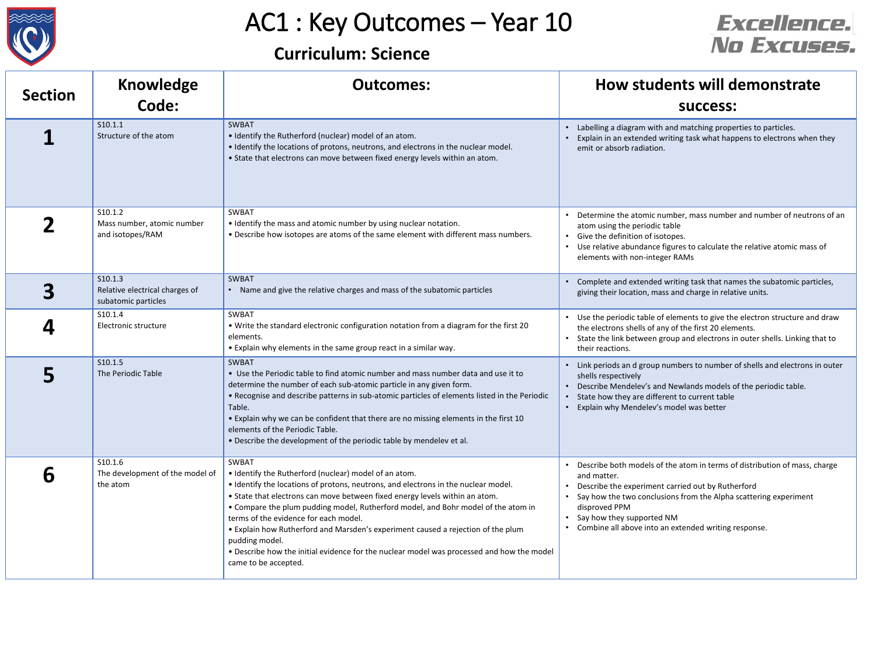



| <b>Section</b> | <b>Knowledge</b><br>Code:                                        | <b>Outcomes:</b>                                                                                                                                                                                                                                                                                                                                                                                                                                                                                                                                                                             | How students will demonstrate<br><b>SUCCESS:</b>                                                                                                                                                                                                                                                                          |
|----------------|------------------------------------------------------------------|----------------------------------------------------------------------------------------------------------------------------------------------------------------------------------------------------------------------------------------------------------------------------------------------------------------------------------------------------------------------------------------------------------------------------------------------------------------------------------------------------------------------------------------------------------------------------------------------|---------------------------------------------------------------------------------------------------------------------------------------------------------------------------------------------------------------------------------------------------------------------------------------------------------------------------|
|                | S10.1.1<br>Structure of the atom                                 | SWBAT<br>• Identify the Rutherford (nuclear) model of an atom.<br>• Identify the locations of protons, neutrons, and electrons in the nuclear model.<br>• State that electrons can move between fixed energy levels within an atom.                                                                                                                                                                                                                                                                                                                                                          | Labelling a diagram with and matching properties to particles.<br>Explain in an extended writing task what happens to electrons when they<br>emit or absorb radiation.                                                                                                                                                    |
|                | S10.1.2<br>Mass number, atomic number<br>and isotopes/RAM        | SWBAT<br>• Identify the mass and atomic number by using nuclear notation.<br>. Describe how isotopes are atoms of the same element with different mass numbers.                                                                                                                                                                                                                                                                                                                                                                                                                              | Determine the atomic number, mass number and number of neutrons of an<br>atom using the periodic table<br>• Give the definition of isotopes.<br>Use relative abundance figures to calculate the relative atomic mass of<br>elements with non-integer RAMs                                                                 |
|                | S10.1.3<br>Relative electrical charges of<br>subatomic particles | SWBAT<br>• Name and give the relative charges and mass of the subatomic particles                                                                                                                                                                                                                                                                                                                                                                                                                                                                                                            | Complete and extended writing task that names the subatomic particles,<br>giving their location, mass and charge in relative units.                                                                                                                                                                                       |
|                | S10.1.4<br>Electronic structure                                  | SWBAT<br>. Write the standard electronic configuration notation from a diagram for the first 20<br>elements.<br>• Explain why elements in the same group react in a similar way.                                                                                                                                                                                                                                                                                                                                                                                                             | • Use the periodic table of elements to give the electron structure and draw<br>the electrons shells of any of the first 20 elements.<br>• State the link between group and electrons in outer shells. Linking that to<br>their reactions.                                                                                |
|                | S10.1.5<br>The Periodic Table                                    | SWBAT<br>. Use the Periodic table to find atomic number and mass number data and use it to<br>determine the number of each sub-atomic particle in any given form.<br>. Recognise and describe patterns in sub-atomic particles of elements listed in the Periodic<br>Table.<br>• Explain why we can be confident that there are no missing elements in the first 10<br>elements of the Periodic Table.<br>. Describe the development of the periodic table by mendelev et al.                                                                                                                | • Link periods an d group numbers to number of shells and electrons in outer<br>shells respectively<br>• Describe Mendelev's and Newlands models of the periodic table.<br>State how they are different to current table<br>Explain why Mendelev's model was better                                                       |
| 6              | S10.1.6<br>The development of the model of<br>the atom           | SWBAT<br>. Identify the Rutherford (nuclear) model of an atom.<br>• Identify the locations of protons, neutrons, and electrons in the nuclear model.<br>• State that electrons can move between fixed energy levels within an atom.<br>• Compare the plum pudding model, Rutherford model, and Bohr model of the atom in<br>terms of the evidence for each model.<br>• Explain how Rutherford and Marsden's experiment caused a rejection of the plum<br>pudding model.<br>. Describe how the initial evidence for the nuclear model was processed and how the model<br>came to be accepted. | Describe both models of the atom in terms of distribution of mass, charge<br>and matter.<br>Describe the experiment carried out by Rutherford<br>Say how the two conclusions from the Alpha scattering experiment<br>disproved PPM<br>• Say how they supported NM<br>Combine all above into an extended writing response. |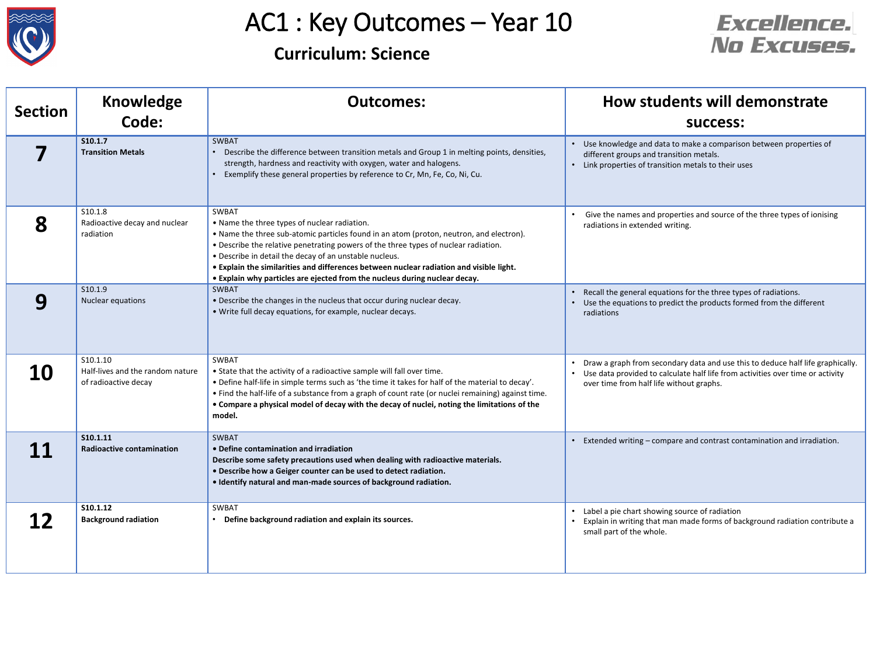



| <b>Section</b> | <b>Knowledge</b>                                                     | <b>Outcomes:</b>                                                                                                                                                                                                                                                                                                                                                                                                                                                           | How students will demonstrate                                                                                                                                                                                  |
|----------------|----------------------------------------------------------------------|----------------------------------------------------------------------------------------------------------------------------------------------------------------------------------------------------------------------------------------------------------------------------------------------------------------------------------------------------------------------------------------------------------------------------------------------------------------------------|----------------------------------------------------------------------------------------------------------------------------------------------------------------------------------------------------------------|
|                | Code:                                                                |                                                                                                                                                                                                                                                                                                                                                                                                                                                                            | success:                                                                                                                                                                                                       |
|                | S10.1.7<br><b>Transition Metals</b>                                  | SWBAT<br>Describe the difference between transition metals and Group 1 in melting points, densities,<br>strength, hardness and reactivity with oxygen, water and halogens.<br>Exemplify these general properties by reference to Cr, Mn, Fe, Co, Ni, Cu.                                                                                                                                                                                                                   | Use knowledge and data to make a comparison between properties of<br>different groups and transition metals.<br>• Link properties of transition metals to their uses                                           |
| 8              | S10.1.8<br>Radioactive decay and nuclear<br>radiation                | SWBAT<br>• Name the three types of nuclear radiation.<br>• Name the three sub-atomic particles found in an atom (proton, neutron, and electron).<br>. Describe the relative penetrating powers of the three types of nuclear radiation.<br>• Describe in detail the decay of an unstable nucleus.<br>. Explain the similarities and differences between nuclear radiation and visible light.<br>• Explain why particles are ejected from the nucleus during nuclear decay. | Give the names and properties and source of the three types of ionising<br>radiations in extended writing.                                                                                                     |
| 9              | S10.1.9<br>Nuclear equations                                         | SWBAT<br>• Describe the changes in the nucleus that occur during nuclear decay.<br>• Write full decay equations, for example, nuclear decays.                                                                                                                                                                                                                                                                                                                              | Recall the general equations for the three types of radiations.<br>Use the equations to predict the products formed from the different<br>radiations                                                           |
| 10             | S10.1.10<br>Half-lives and the random nature<br>of radioactive decay | SWBAT<br>• State that the activity of a radioactive sample will fall over time.<br>• Define half-life in simple terms such as 'the time it takes for half of the material to decay'.<br>. Find the half-life of a substance from a graph of count rate (or nuclei remaining) against time.<br>• Compare a physical model of decay with the decay of nuclei, noting the limitations of the<br>model.                                                                        | Draw a graph from secondary data and use this to deduce half life graphically.<br>• Use data provided to calculate half life from activities over time or activity<br>over time from half life without graphs. |
|                | S10.1.11<br><b>Radioactive contamination</b>                         | SWBAT<br>• Define contamination and irradiation<br>Describe some safety precautions used when dealing with radioactive materials.<br>. Describe how a Geiger counter can be used to detect radiation.<br>. Identify natural and man-made sources of background radiation.                                                                                                                                                                                                  | Extended writing - compare and contrast contamination and irradiation.                                                                                                                                         |
|                | S10.1.12<br><b>Background radiation</b>                              | SWBAT<br>• Define background radiation and explain its sources.                                                                                                                                                                                                                                                                                                                                                                                                            | • Label a pie chart showing source of radiation<br>• Explain in writing that man made forms of background radiation contribute a<br>small part of the whole.                                                   |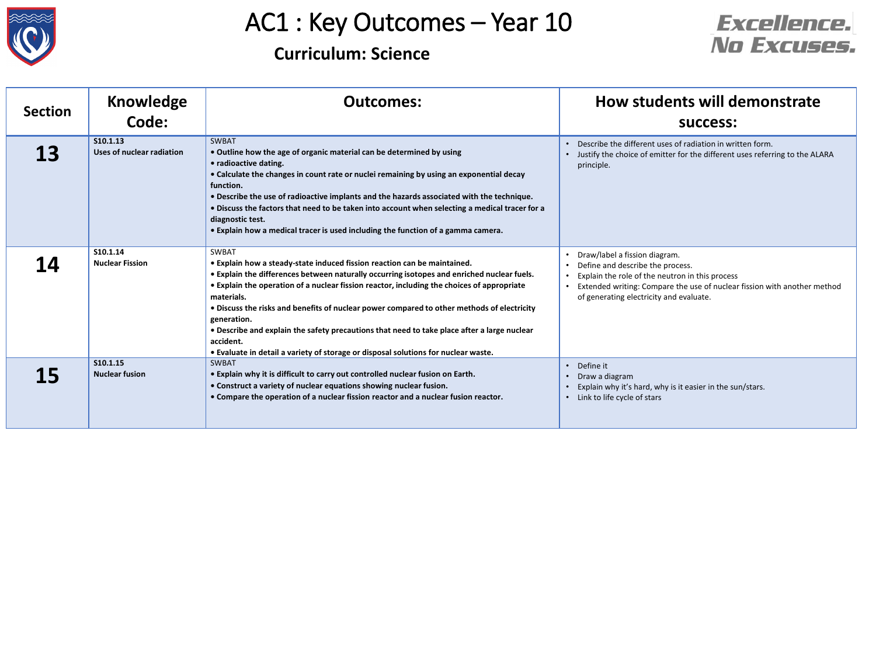



| <b>Section</b> | <b>Knowledge</b><br>Code:             | <b>Outcomes:</b>                                                                                                                                                                                                                                                                                                                                                                                                                                                                                                                                                                                                  | How students will demonstrate<br>success:                                                                                                                                                                                                   |
|----------------|---------------------------------------|-------------------------------------------------------------------------------------------------------------------------------------------------------------------------------------------------------------------------------------------------------------------------------------------------------------------------------------------------------------------------------------------------------------------------------------------------------------------------------------------------------------------------------------------------------------------------------------------------------------------|---------------------------------------------------------------------------------------------------------------------------------------------------------------------------------------------------------------------------------------------|
| 13             | S10.1.13<br>Uses of nuclear radiation | <b>SWBAT</b><br>• Outline how the age of organic material can be determined by using<br>• radioactive dating.<br>• Calculate the changes in count rate or nuclei remaining by using an exponential decay<br>function.<br>. Describe the use of radioactive implants and the hazards associated with the technique.<br>. Discuss the factors that need to be taken into account when selecting a medical tracer for a<br>diagnostic test.<br>• Explain how a medical tracer is used including the function of a gamma camera.                                                                                      | Describe the different uses of radiation in written form.<br>• Justify the choice of emitter for the different uses referring to the ALARA<br>principle.                                                                                    |
| <b>14</b>      | S10.1.14<br><b>Nuclear Fission</b>    | <b>SWBAT</b><br>• Explain how a steady-state induced fission reaction can be maintained.<br>. Explain the differences between naturally occurring isotopes and enriched nuclear fuels.<br>• Explain the operation of a nuclear fission reactor, including the choices of appropriate<br>materials.<br>. Discuss the risks and benefits of nuclear power compared to other methods of electricity<br>generation.<br>. Describe and explain the safety precautions that need to take place after a large nuclear<br>accident.<br>. Evaluate in detail a variety of storage or disposal solutions for nuclear waste. | Draw/label a fission diagram.<br>Define and describe the process.<br>Explain the role of the neutron in this process<br>Extended writing: Compare the use of nuclear fission with another method<br>of generating electricity and evaluate. |
| 15             | S10.1.15<br><b>Nuclear fusion</b>     | <b>SWBAT</b><br>. Explain why it is difficult to carry out controlled nuclear fusion on Earth.<br>• Construct a variety of nuclear equations showing nuclear fusion.<br>• Compare the operation of a nuclear fission reactor and a nuclear fusion reactor.                                                                                                                                                                                                                                                                                                                                                        | Define it<br>Draw a diagram<br>Explain why it's hard, why is it easier in the sun/stars.<br>• Link to life cycle of stars                                                                                                                   |